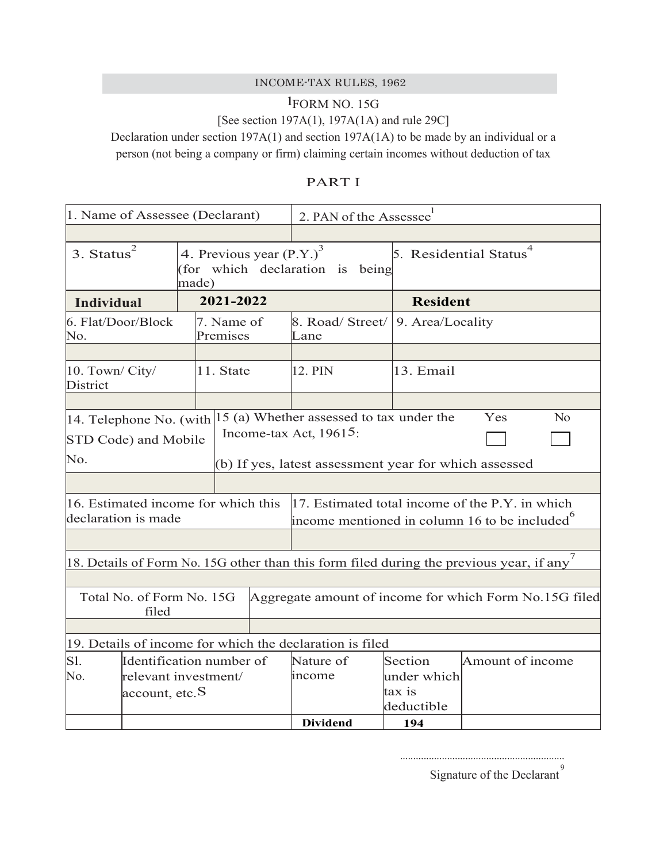## INCOME-TAX RULES, 1962

## lFORM NO. 15G [See section 197A(1), 197A(1A) and rule 29C]

Declaration under section 197A(1) and section 197A(1A) to be made by an individual or a person (not being a company or firm) claiming certain incomes without deduction of tax

| 1. Name of Assessee (Declarant)                                                              |                                                 | 2. PAN of the Assessee                                                                                     |                      |                         |                                                                       |                 |                                                                                                      |
|----------------------------------------------------------------------------------------------|-------------------------------------------------|------------------------------------------------------------------------------------------------------------|----------------------|-------------------------|-----------------------------------------------------------------------|-----------------|------------------------------------------------------------------------------------------------------|
|                                                                                              |                                                 |                                                                                                            |                      |                         |                                                                       |                 |                                                                                                      |
| 2<br>4. Previous year (P.Y.) <sup>3</sup><br>3. Status<br>(for which declaration is<br>made) |                                                 | being                                                                                                      |                      | 5. Residential Status   |                                                                       |                 |                                                                                                      |
| Individual                                                                                   |                                                 | 2021-2022                                                                                                  |                      |                         |                                                                       | <b>Resident</b> |                                                                                                      |
| 6. Flat/Door/Block<br>No.                                                                    |                                                 | 7. Name of<br>Premises                                                                                     |                      | 8. Road/Street/<br>Lane | 9. Area/Locality                                                      |                 |                                                                                                      |
| 10. Town/ City/<br>District                                                                  | 11. State                                       |                                                                                                            |                      | 12. PIN                 | 13. Email                                                             |                 |                                                                                                      |
|                                                                                              |                                                 |                                                                                                            |                      |                         |                                                                       |                 |                                                                                                      |
|                                                                                              | 14. Telephone No. (with<br>STD Code) and Mobile |                                                                                                            |                      |                         | 15 (a) Whether assessed to tax under the<br>Income-tax Act, $19615$ : |                 | Yes<br>$\rm No$                                                                                      |
| No.                                                                                          |                                                 |                                                                                                            |                      |                         | (b) If yes, latest assessment year for which assessed                 |                 |                                                                                                      |
|                                                                                              |                                                 |                                                                                                            |                      |                         |                                                                       |                 |                                                                                                      |
| 16. Estimated income for which this<br>declaration is made                                   |                                                 | 17. Estimated total income of the P.Y. in which<br>income mentioned in column 16 to be included $^{\circ}$ |                      |                         |                                                                       |                 |                                                                                                      |
|                                                                                              |                                                 |                                                                                                            |                      |                         |                                                                       |                 | 18. Details of Form No. 15G other than this form filed during the previous year, if any <sup>7</sup> |
| Total No. of Form No. 15G<br>Aggregate amount of income for which Form No.15G filed<br>filed |                                                 |                                                                                                            |                      |                         |                                                                       |                 |                                                                                                      |
|                                                                                              |                                                 |                                                                                                            |                      |                         |                                                                       |                 |                                                                                                      |
|                                                                                              |                                                 |                                                                                                            |                      |                         | 19. Details of income for which the declaration is filed              |                 |                                                                                                      |
| Sl.                                                                                          | Identification number of                        |                                                                                                            | Nature of            | Section                 | Amount of income                                                      |                 |                                                                                                      |
| No.<br>relevant investment/<br>account, etc. S                                               |                                                 | income                                                                                                     | under which          |                         |                                                                       |                 |                                                                                                      |
|                                                                                              |                                                 |                                                                                                            | tax is<br>deductible |                         |                                                                       |                 |                                                                                                      |
|                                                                                              |                                                 |                                                                                                            |                      |                         | <b>Dividend</b>                                                       | 194             |                                                                                                      |

Signature of the Declarant<sup>9</sup>

...............................................................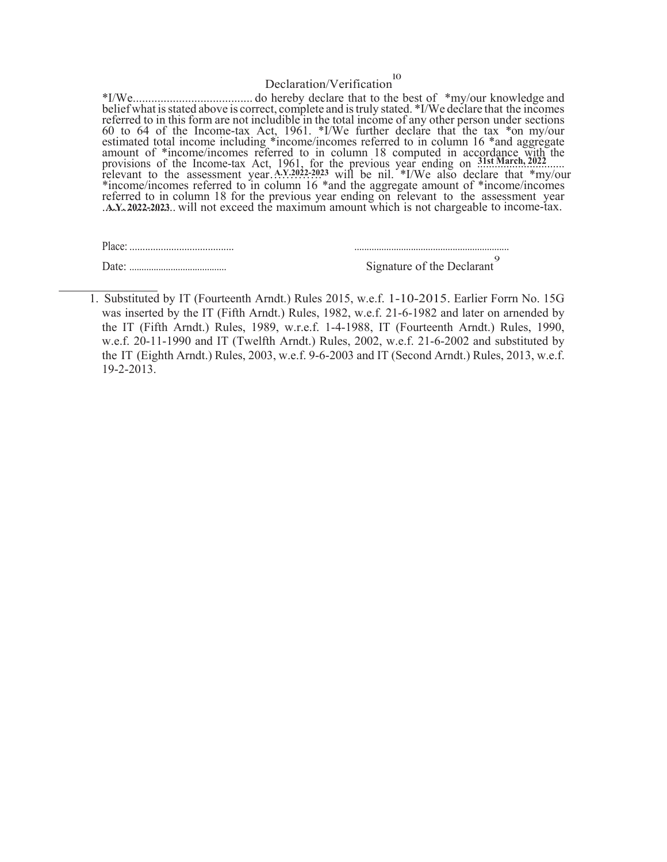## Declaration/Verification l0

\*I/We....................................... do hereby declare that to the best of \*my/our knowledge and belief what is stated above is correct, complete and is truly stated. \*I/We declare that the incomes referred to in this form are not includible in the total income of any other person under sections 60 to 64 of the Income-tax Act, 1961. \*I/We further declare that the tax \*on my/our 60 to 64 of the Income-tax Act, 1961. \*I/We further declare that the tax \*on my/our estimated total income including \*income/incomes referred to in column 16 \*and aggregate amount of \*income/incomes referred to in column 18 computed in accordance with the provisions of the Income-tax Act, 1961, for the previous year ending on 31st March, 2022....... \*income/incomes referred to in column 16 \*and the aggregate amount of \*income/incomes referred to in column 18 for the previous year ending on relevant to the assessment year A.Y. 2022-2023. will not exceed the maximum amount which is not chargeable to income-tax. **31st March, 2022** relevant to the assessment year. A.Y. 2022-2023 will be nil. \*I/We also declare that \*my/our

| Place:   |                            |
|----------|----------------------------|
| Date<br> | Signature of the Declarant |

<sup>1.</sup> Substituted by IT (Fourteenth Arndt.) Rules 2015, w.e.f. 1-10-2015. Earlier Forrn No. 15G was inserted by the IT (Fifth Arndt.) Rules, 1982, w.e.f. 21-6-1982 and later on arnended by the IT (Fifth Arndt.) Rules, 1989, w.r.e.f. 1-4-1988, IT (Fourteenth Arndt.) Rules, 1990, w.e.f. 20-11-1990 and IT (Twelfth Arndt.) Rules, 2002, w.e.f. 21-6-2002 and substituted by the IT (Eighth Arndt.) Rules, 2003, w.e.f. 9-6-2003 and IT (Second Arndt.) Rules, 2013, w.e.f. 19-2-2013.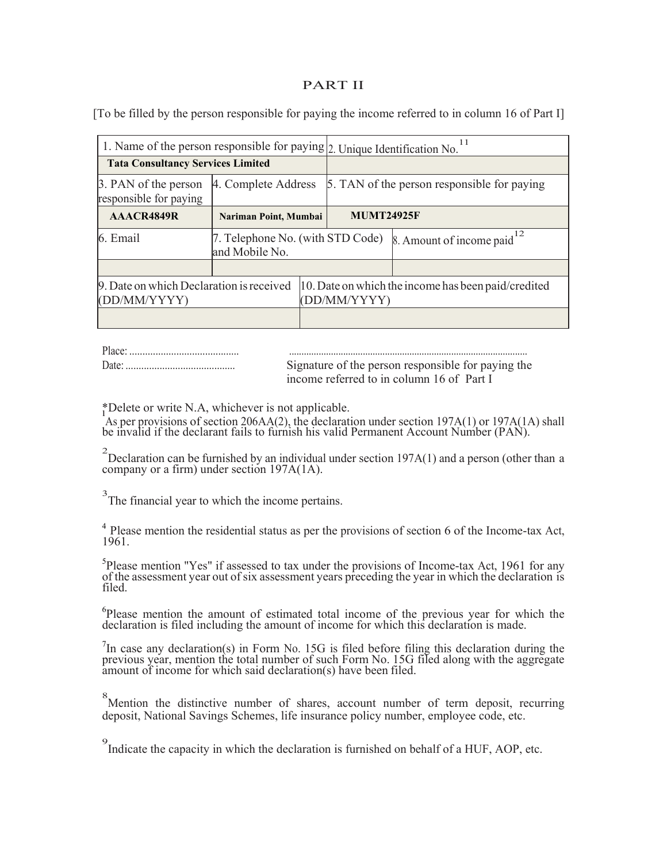## PART II

[To be filled by the person responsible for paying the income referred to in column 16 of Part I]

| 1. Name of the person responsible for paying 2. Unique Identification No. |                                                    |  |                                             |                                                     |
|---------------------------------------------------------------------------|----------------------------------------------------|--|---------------------------------------------|-----------------------------------------------------|
| <b>Tata Consultancy Services Limited</b>                                  |                                                    |  |                                             |                                                     |
| 3. PAN of the person<br>responsible for paying                            | 4. Complete Address                                |  | 5. TAN of the person responsible for paying |                                                     |
| AAACR4849R                                                                | Nariman Point, Mumbai                              |  | <b>MUMT24925F</b>                           |                                                     |
| 6. Email                                                                  | 7. Telephone No. (with STD Code)<br>and Mobile No. |  |                                             | 8. Amount of income paid $12$                       |
|                                                                           |                                                    |  |                                             |                                                     |
| 9. Date on which Declaration is received<br>(DD/MM/YYYY)                  |                                                    |  | (DD/MM/YYYY)                                | 10. Date on which the income has been paid/credited |
|                                                                           |                                                    |  |                                             |                                                     |

| Place |                                                    |
|-------|----------------------------------------------------|
| Date: | Signature of the person responsible for paying the |
|       | income referred to in column 16 of Part I          |

\*Delete or write N.A, whichever is not applicable.

As per provisions of section 206AA(2), the declaration under section 197A(1) or 197A(1A) shall be invalid if the declarant fails to furnish his valid Permanent Account Number (PAN).

<sup>2</sup> Declaration can be furnished by an individual under section 197A(1) and a person (other than a company or a firm) under section 197A(1A).

<sup>3</sup>The financial year to which the income pertains.

 $4$  Please mention the residential status as per the provisions of section 6 of the Income-tax Act, 1961.

 ${}^{5}$ Please mention "Yes" if assessed to tax under the provisions of Income-tax Act, 1961 for any Please mention "Yes" if assessed to tax under the provisions of Income-tax Act, 1961 for any of the assessment year out of six assessment years preceding the year in which the declaration is filed.

<sup>6</sup>Please mention the amount of estimated total income of the previous year for which the declaration is filed including the amount of income for which this declaration is made.

 $7$ In case any declaration(s) in Form No. 15G is filed before filing this declaration during the previous year, mention the total number of such Form No. 15G filed along with the aggregate amount of income for which said declaration(s) have been filed.

8 Mention the distinctive number of shares, account number of term deposit, recurring deposit, National Savings Schemes, life insurance policy number, employee code, etc.

9 Indicate the capacity in which the declaration is furnished on behalf of a HUF, AOP, etc.